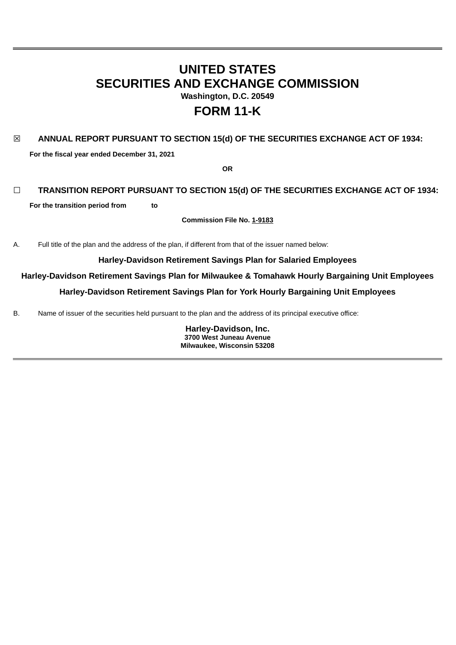# **UNITED STATES SECURITIES AND EXCHANGE COMMISSION Washington, D.C. 20549**

# **FORM 11-K**

# ☒ **ANNUAL REPORT PURSUANT TO SECTION 15(d) OF THE SECURITIES EXCHANGE ACT OF 1934:**

**For the fiscal year ended December 31, 2021**

**OR**

## ☐ **TRANSITION REPORT PURSUANT TO SECTION 15(d) OF THE SECURITIES EXCHANGE ACT OF 1934:**

**For the transition period from to**

**Commission File No. 1-9183**

A. Full title of the plan and the address of the plan, if different from that of the issuer named below:

## **Harley-Davidson Retirement Savings Plan for Salaried Employees**

**Harley-Davidson Retirement Savings Plan for Milwaukee & Tomahawk Hourly Bargaining Unit Employees**

**Harley-Davidson Retirement Savings Plan for York Hourly Bargaining Unit Employees**

B. Name of issuer of the securities held pursuant to the plan and the address of its principal executive office:

**Harley-Davidson, Inc. 3700 West Juneau Avenue Milwaukee, Wisconsin 53208**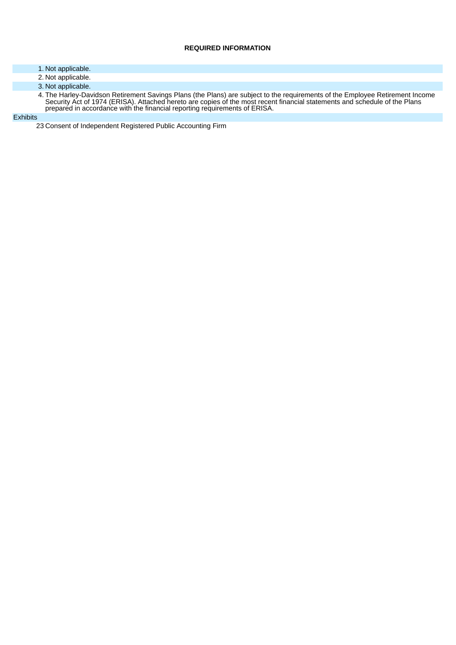## **REQUIRED INFORMATION**

- 1. Not applicable.
- 2. Not applicable.
- 3. Not applicable.
- 4. The Harley-Davidson Retirement Savings Plans (the Plans) are subject to the requirements of the Employee Retirement Income Security Act of 1974 (ERISA). Attached hereto are copies of the most recent financial statements and schedule of the Plans prepared in accordance with the financial reporting requirements of ERISA.

#### **Exhibits**

23 Consent of Independent Registered Public Accounting Firm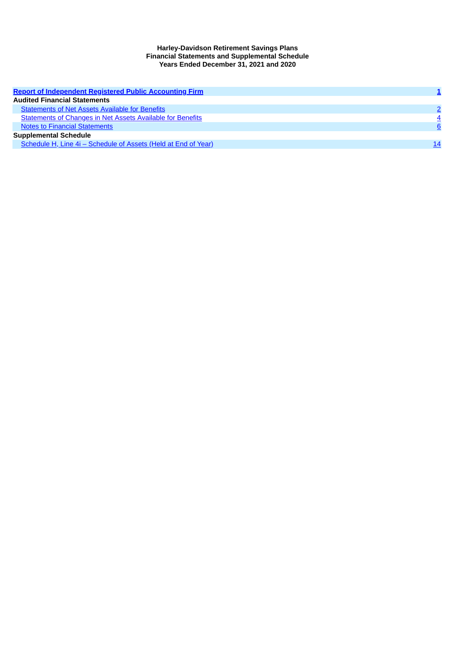#### **Harley-Davidson Retirement Savings Plans Financial Statements and Supplemental Schedule Years Ended December 31, 2021 and 2020**

<span id="page-2-0"></span>

| <b>Report of Independent Registered Public Accounting Firm</b>    |    |
|-------------------------------------------------------------------|----|
| <b>Audited Financial Statements</b>                               |    |
| <b>Statements of Net Assets Available for Benefits</b>            |    |
| <b>Statements of Changes in Net Assets Available for Benefits</b> |    |
| <b>Notes to Financial Statements</b>                              | 6  |
| <b>Supplemental Schedule</b>                                      |    |
| Schedule H, Line 4i – Schedule of Assets (Held at End of Year)    | 14 |
|                                                                   |    |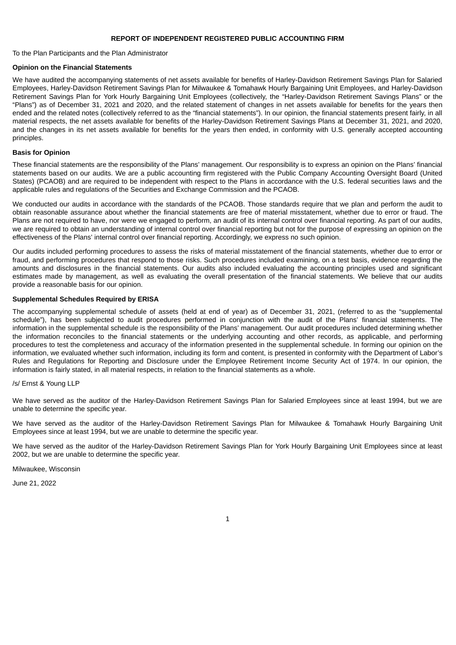#### **REPORT OF INDEPENDENT REGISTERED PUBLIC ACCOUNTING FIRM**

To the Plan Participants and the Plan Administrator

#### **Opinion on the Financial Statements**

We have audited the accompanying statements of net assets available for benefits of Harley-Davidson Retirement Savings Plan for Salaried Employees, Harley-Davidson Retirement Savings Plan for Milwaukee & Tomahawk Hourly Bargaining Unit Employees, and Harley-Davidson Retirement Savings Plan for York Hourly Bargaining Unit Employees (collectively, the "Harley-Davidson Retirement Savings Plans" or the "Plans") as of December 31, 2021 and 2020, and the related statement of changes in net assets available for benefits for the years then ended and the related notes (collectively referred to as the "financial statements"). In our opinion, the financial statements present fairly, in all material respects, the net assets available for benefits of the Harley-Davidson Retirement Savings Plans at December 31, 2021, and 2020, and the changes in its net assets available for benefits for the years then ended, in conformity with U.S. generally accepted accounting principles.

#### **Basis for Opinion**

These financial statements are the responsibility of the Plans' management. Our responsibility is to express an opinion on the Plans' financial statements based on our audits. We are a public accounting firm registered with the Public Company Accounting Oversight Board (United States) (PCAOB) and are required to be independent with respect to the Plans in accordance with the U.S. federal securities laws and the applicable rules and regulations of the Securities and Exchange Commission and the PCAOB.

We conducted our audits in accordance with the standards of the PCAOB. Those standards require that we plan and perform the audit to obtain reasonable assurance about whether the financial statements are free of material misstatement, whether due to error or fraud. The Plans are not required to have, nor were we engaged to perform, an audit of its internal control over financial reporting. As part of our audits, we are required to obtain an understanding of internal control over financial reporting but not for the purpose of expressing an opinion on the effectiveness of the Plans' internal control over financial reporting. Accordingly, we express no such opinion.

Our audits included performing procedures to assess the risks of material misstatement of the financial statements, whether due to error or fraud, and performing procedures that respond to those risks. Such procedures included examining, on a test basis, evidence regarding the amounts and disclosures in the financial statements. Our audits also included evaluating the accounting principles used and significant estimates made by management, as well as evaluating the overall presentation of the financial statements. We believe that our audits provide a reasonable basis for our opinion.

## **Supplemental Schedules Required by ERISA**

The accompanying supplemental schedule of assets (held at end of year) as of December 31, 2021, (referred to as the "supplemental schedule"), has been subjected to audit procedures performed in conjunction with the audit of the Plans' financial statements. The information in the supplemental schedule is the responsibility of the Plans' management. Our audit procedures included determining whether the information reconciles to the financial statements or the underlying accounting and other records, as applicable, and performing procedures to test the completeness and accuracy of the information presented in the supplemental schedule. In forming our opinion on the information, we evaluated whether such information, including its form and content, is presented in conformity with the Department of Labor's Rules and Regulations for Reporting and Disclosure under the Employee Retirement Income Security Act of 1974. In our opinion, the information is fairly stated, in all material respects, in relation to the financial statements as a whole.

#### /s/ Ernst & Young LLP

We have served as the auditor of the Harley-Davidson Retirement Savings Plan for Salaried Employees since at least 1994, but we are unable to determine the specific year.

We have served as the auditor of the Harley-Davidson Retirement Savings Plan for Milwaukee & Tomahawk Hourly Bargaining Unit Employees since at least 1994, but we are unable to determine the specific year.

We have served as the auditor of the Harley-Davidson Retirement Savings Plan for York Hourly Bargaining Unit Employees since at least 2002, but we are unable to determine the specific year.

Milwaukee, Wisconsin

<span id="page-3-0"></span>June 21, 2022

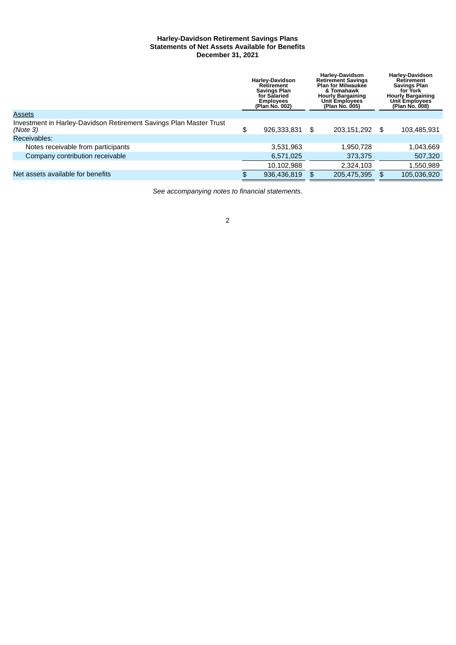## **Harley-Davidson Retirement Savings Plans Statements of Net Assets Available for Benefits December 31, 2021**

|                                                                                | <b>Harley-Davidson</b><br>Retirement<br><b>Savings Plan</b><br>for Salaried<br><b>Employees</b><br>(Plan No. 002) |             | <b>Harley-Davidson</b><br><b>Retirement Savings</b><br><b>Plan for Milwaukee</b><br>& Tomahawk<br><b>Hourly Bargaining</b><br><b>Unit Employees</b><br>(Plan No. 005) |    | <b>Harley-Davidson</b><br>Retirement<br><b>Savings Plan</b><br>for York<br><b>Hourly Bargaining</b><br><b>Unit Employees</b><br>(Plan No. 008) |
|--------------------------------------------------------------------------------|-------------------------------------------------------------------------------------------------------------------|-------------|-----------------------------------------------------------------------------------------------------------------------------------------------------------------------|----|------------------------------------------------------------------------------------------------------------------------------------------------|
| <b>Assets</b>                                                                  |                                                                                                                   |             |                                                                                                                                                                       |    |                                                                                                                                                |
| Investment in Harley-Davidson Retirement Savings Plan Master Trust<br>(Note 3) | \$                                                                                                                | 926,333,831 | \$<br>203,151,292                                                                                                                                                     | \$ | 103,485,931                                                                                                                                    |
| Receivables:                                                                   |                                                                                                                   |             |                                                                                                                                                                       |    |                                                                                                                                                |
| Notes receivable from participants                                             |                                                                                                                   | 3,531,963   | 1,950,728                                                                                                                                                             |    | 1,043,669                                                                                                                                      |
| Company contribution receivable                                                |                                                                                                                   | 6,571,025   | 373,375                                                                                                                                                               |    | 507,320                                                                                                                                        |
|                                                                                |                                                                                                                   | 10.102.988  | 2.324.103                                                                                                                                                             |    | 1,550,989                                                                                                                                      |
| Net assets available for benefits                                              | \$                                                                                                                | 936.436.819 | \$<br>205.475.395                                                                                                                                                     | \$ | 105.036.920                                                                                                                                    |

*See accompanying notes to financial statements*.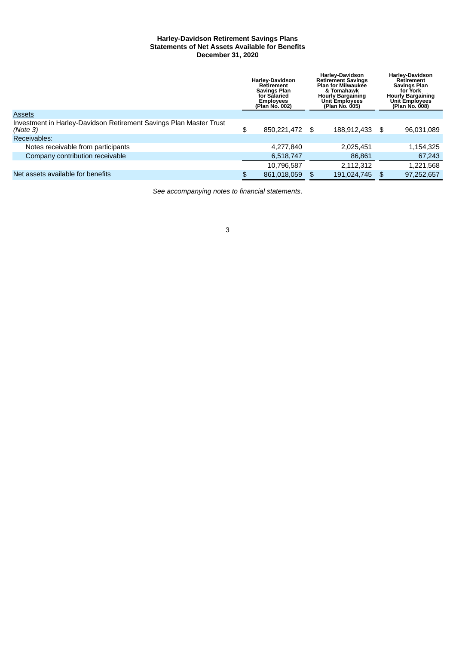## **Harley-Davidson Retirement Savings Plans Statements of Net Assets Available for Benefits December 31, 2020**

|                                                                                | <b>Harley-Davidson</b><br>Retirement<br><b>Savings Plan</b><br>for Salaried<br><b>Employees</b><br>(Plan No. 002) |             | <b>Harley-Davidson</b><br><b>Retirement Savings</b><br><b>Plan for Milwaukee</b><br>& Tomahawk<br><b>Hourly Bargaining</b><br><b>Unit Employees</b><br>(Plan No. 005) | <b>Harley-Davidson</b><br>Retirement<br><b>Savings Plan</b><br>for York<br><b>Hourly Bargaining</b><br><b>Unit Employees</b><br>(Plan No. 008) |    |            |
|--------------------------------------------------------------------------------|-------------------------------------------------------------------------------------------------------------------|-------------|-----------------------------------------------------------------------------------------------------------------------------------------------------------------------|------------------------------------------------------------------------------------------------------------------------------------------------|----|------------|
| <b>Assets</b>                                                                  |                                                                                                                   |             |                                                                                                                                                                       |                                                                                                                                                |    |            |
| Investment in Harley-Davidson Retirement Savings Plan Master Trust<br>(Note 3) | \$                                                                                                                | 850,221,472 | -\$                                                                                                                                                                   | 188,912,433                                                                                                                                    | \$ | 96,031,089 |
| Receivables:                                                                   |                                                                                                                   |             |                                                                                                                                                                       |                                                                                                                                                |    |            |
| Notes receivable from participants                                             |                                                                                                                   | 4.277.840   |                                                                                                                                                                       | 2,025,451                                                                                                                                      |    | 1,154,325  |
| Company contribution receivable                                                |                                                                                                                   | 6,518,747   |                                                                                                                                                                       | 86,861                                                                                                                                         |    | 67,243     |
|                                                                                |                                                                                                                   | 10,796,587  |                                                                                                                                                                       | 2.112.312                                                                                                                                      |    | 1,221,568  |
| Net assets available for benefits                                              | \$                                                                                                                | 861.018.059 | \$                                                                                                                                                                    | 191.024.745                                                                                                                                    | \$ | 97,252,657 |

<span id="page-5-0"></span>*See accompanying notes to financial statements*.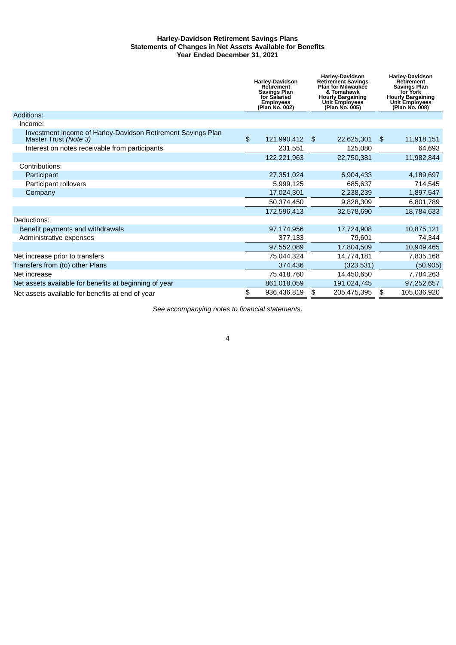## **Harley-Davidson Retirement Savings Plans Statements of Changes in Net Assets Available for Benefits Year Ended December 31, 2021**

|                                                                                       | <b>Harley-Davidson</b><br><b>Retirement</b><br><b>Savings Plan</b><br>for Salaried<br><b>Employees</b><br>(Plan No. 002) | <b>Harley-Davidson</b><br><b>Retirement Savings</b><br><b>Plan for Milwaukee</b><br>& Tomahawk<br><b>Hourly Bargaining</b><br><b>Unit Employees</b><br>(Plan No. 005) | <b>Harley-Davidson</b><br><b>Retirement</b><br><b>Savings Plan</b><br>for York<br><b>Hourly Bargaining</b><br><b>Unit Employees</b><br>(Plan No. 008) |
|---------------------------------------------------------------------------------------|--------------------------------------------------------------------------------------------------------------------------|-----------------------------------------------------------------------------------------------------------------------------------------------------------------------|-------------------------------------------------------------------------------------------------------------------------------------------------------|
| Additions:                                                                            |                                                                                                                          |                                                                                                                                                                       |                                                                                                                                                       |
| Income:                                                                               |                                                                                                                          |                                                                                                                                                                       |                                                                                                                                                       |
| Investment income of Harley-Davidson Retirement Savings Plan<br>Master Trust (Note 3) | \$<br>121,990,412                                                                                                        | \$<br>22,625,301                                                                                                                                                      | \$<br>11,918,151                                                                                                                                      |
| Interest on notes receivable from participants                                        | 231,551                                                                                                                  | 125,080                                                                                                                                                               | 64,693                                                                                                                                                |
|                                                                                       | 122,221,963                                                                                                              | 22,750,381                                                                                                                                                            | 11,982,844                                                                                                                                            |
| Contributions:                                                                        |                                                                                                                          |                                                                                                                                                                       |                                                                                                                                                       |
| Participant                                                                           | 27,351,024                                                                                                               | 6,904,433                                                                                                                                                             | 4,189,697                                                                                                                                             |
| Participant rollovers                                                                 | 5,999,125                                                                                                                | 685,637                                                                                                                                                               | 714,545                                                                                                                                               |
| Company                                                                               | 17,024,301                                                                                                               | 2,238,239                                                                                                                                                             | 1,897,547                                                                                                                                             |
|                                                                                       | 50,374,450                                                                                                               | 9,828,309                                                                                                                                                             | 6,801,789                                                                                                                                             |
|                                                                                       | 172,596,413                                                                                                              | 32,578,690                                                                                                                                                            | 18,784,633                                                                                                                                            |
| Deductions:                                                                           |                                                                                                                          |                                                                                                                                                                       |                                                                                                                                                       |
| Benefit payments and withdrawals                                                      | 97,174,956                                                                                                               | 17,724,908                                                                                                                                                            | 10,875,121                                                                                                                                            |
| Administrative expenses                                                               | 377,133                                                                                                                  | 79,601                                                                                                                                                                | 74,344                                                                                                                                                |
|                                                                                       | 97,552,089                                                                                                               | 17,804,509                                                                                                                                                            | 10,949,465                                                                                                                                            |
| Net increase prior to transfers                                                       | 75,044,324                                                                                                               | 14,774,181                                                                                                                                                            | 7,835,168                                                                                                                                             |
| Transfers from (to) other Plans                                                       | 374,436                                                                                                                  | (323, 531)                                                                                                                                                            | (50, 905)                                                                                                                                             |
| Net increase                                                                          | 75,418,760                                                                                                               | 14,450,650                                                                                                                                                            | 7,784,263                                                                                                                                             |
| Net assets available for benefits at beginning of year                                | 861,018,059                                                                                                              | 191,024,745                                                                                                                                                           | 97,252,657                                                                                                                                            |
| Net assets available for benefits at end of year                                      | \$<br>936,436,819                                                                                                        | \$<br>205,475,395                                                                                                                                                     | \$<br>105,036,920                                                                                                                                     |

*See accompanying notes to financial statements*.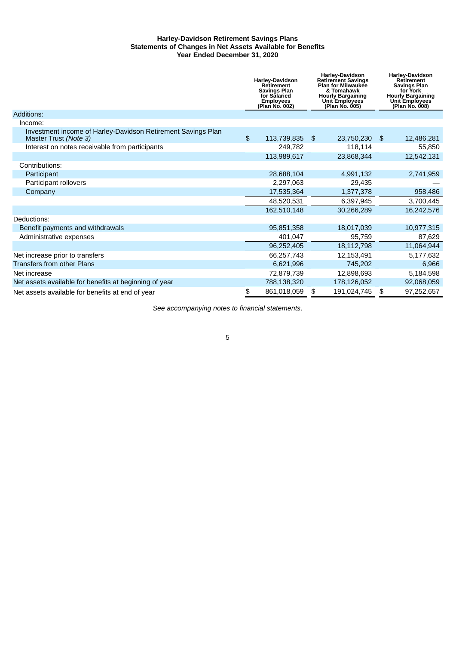## **Harley-Davidson Retirement Savings Plans Statements of Changes in Net Assets Available for Benefits Year Ended December 31, 2020**

|                                                                                       | <b>Harley-Davidson</b><br><b>Retirement</b><br><b>Savings Plan</b><br>for Salaried<br><b>Employees</b><br>(Plan No. 002) | <b>Harley-Davidson</b><br><b>Retirement Savings</b><br><b>Plan for Milwaukee</b><br>& Tomahawk<br><b>Hourly Bargaining</b><br><b>Unit Employees</b><br>(Plan No. 005) | <b>Harley-Davidson</b><br><b>Retirement</b><br><b>Savings Plan</b><br>for York<br><b>Hourly Bargaining</b><br><b>Unit Employees</b><br>(Plan No. 008) |
|---------------------------------------------------------------------------------------|--------------------------------------------------------------------------------------------------------------------------|-----------------------------------------------------------------------------------------------------------------------------------------------------------------------|-------------------------------------------------------------------------------------------------------------------------------------------------------|
| Additions:                                                                            |                                                                                                                          |                                                                                                                                                                       |                                                                                                                                                       |
| Income:                                                                               |                                                                                                                          |                                                                                                                                                                       |                                                                                                                                                       |
| Investment income of Harley-Davidson Retirement Savings Plan<br>Master Trust (Note 3) | \$<br>113,739,835                                                                                                        | \$<br>23,750,230                                                                                                                                                      | \$<br>12,486,281                                                                                                                                      |
| Interest on notes receivable from participants                                        | 249,782                                                                                                                  | 118,114                                                                                                                                                               | 55,850                                                                                                                                                |
|                                                                                       | 113,989,617                                                                                                              | 23,868,344                                                                                                                                                            | 12,542,131                                                                                                                                            |
| Contributions:                                                                        |                                                                                                                          |                                                                                                                                                                       |                                                                                                                                                       |
| Participant                                                                           | 28,688,104                                                                                                               | 4,991,132                                                                                                                                                             | 2,741,959                                                                                                                                             |
| Participant rollovers                                                                 | 2,297,063                                                                                                                | 29,435                                                                                                                                                                |                                                                                                                                                       |
| Company                                                                               | 17,535,364                                                                                                               | 1,377,378                                                                                                                                                             | 958,486                                                                                                                                               |
|                                                                                       | 48,520,531                                                                                                               | 6,397,945                                                                                                                                                             | 3,700,445                                                                                                                                             |
|                                                                                       | 162,510,148                                                                                                              | 30,266,289                                                                                                                                                            | 16,242,576                                                                                                                                            |
| Deductions:                                                                           |                                                                                                                          |                                                                                                                                                                       |                                                                                                                                                       |
| Benefit payments and withdrawals                                                      | 95,851,358                                                                                                               | 18,017,039                                                                                                                                                            | 10,977,315                                                                                                                                            |
| Administrative expenses                                                               | 401,047                                                                                                                  | 95,759                                                                                                                                                                | 87,629                                                                                                                                                |
|                                                                                       | 96,252,405                                                                                                               | 18,112,798                                                                                                                                                            | 11,064,944                                                                                                                                            |
| Net increase prior to transfers                                                       | 66,257,743                                                                                                               | 12,153,491                                                                                                                                                            | 5,177,632                                                                                                                                             |
| <b>Transfers from other Plans</b>                                                     | 6,621,996                                                                                                                | 745,202                                                                                                                                                               | 6,966                                                                                                                                                 |
| Net increase                                                                          | 72,879,739                                                                                                               | 12,898,693                                                                                                                                                            | 5,184,598                                                                                                                                             |
| Net assets available for benefits at beginning of year                                | 788,138,320                                                                                                              | 178,126,052                                                                                                                                                           | 92,068,059                                                                                                                                            |
| Net assets available for benefits at end of year                                      | \$<br>861,018,059                                                                                                        | \$<br>191,024,745                                                                                                                                                     | \$<br>97,252,657                                                                                                                                      |

<span id="page-7-0"></span>*See accompanying notes to financial statements*.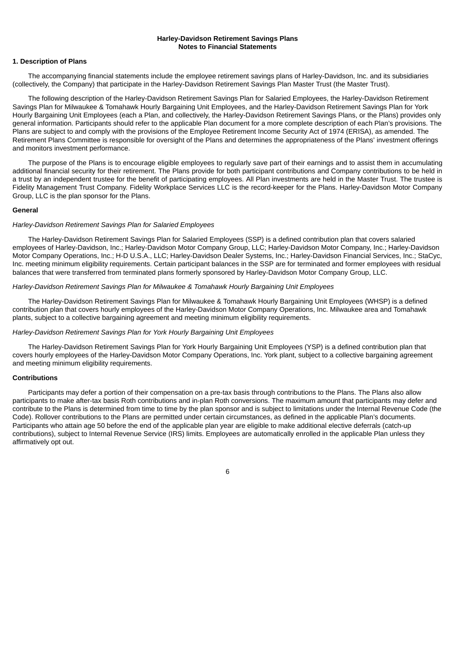## **Harley-Davidson Retirement Savings Plans Notes to Financial Statements**

#### **1. Description of Plans**

The accompanying financial statements include the employee retirement savings plans of Harley-Davidson, Inc. and its subsidiaries (collectively, the Company) that participate in the Harley-Davidson Retirement Savings Plan Master Trust (the Master Trust).

The following description of the Harley-Davidson Retirement Savings Plan for Salaried Employees, the Harley-Davidson Retirement Savings Plan for Milwaukee & Tomahawk Hourly Bargaining Unit Employees, and the Harley-Davidson Retirement Savings Plan for York Hourly Bargaining Unit Employees (each a Plan, and collectively, the Harley-Davidson Retirement Savings Plans, or the Plans) provides only general information. Participants should refer to the applicable Plan document for a more complete description of each Plan's provisions. The Plans are subject to and comply with the provisions of the Employee Retirement Income Security Act of 1974 (ERISA), as amended. The Retirement Plans Committee is responsible for oversight of the Plans and determines the appropriateness of the Plans' investment offerings and monitors investment performance.

The purpose of the Plans is to encourage eligible employees to regularly save part of their earnings and to assist them in accumulating additional financial security for their retirement. The Plans provide for both participant contributions and Company contributions to be held in a trust by an independent trustee for the benefit of participating employees. All Plan investments are held in the Master Trust. The trustee is Fidelity Management Trust Company. Fidelity Workplace Services LLC is the record-keeper for the Plans. Harley-Davidson Motor Company Group, LLC is the plan sponsor for the Plans.

#### **General**

#### *Harley-Davidson Retirement Savings Plan for Salaried Employees*

The Harley-Davidson Retirement Savings Plan for Salaried Employees (SSP) is a defined contribution plan that covers salaried employees of Harley-Davidson, Inc.; Harley-Davidson Motor Company Group, LLC; Harley-Davidson Motor Company, Inc.; Harley-Davidson Motor Company Operations, Inc.; H-D U.S.A., LLC; Harley-Davidson Dealer Systems, Inc.; Harley-Davidson Financial Services, Inc.; StaCyc, Inc. meeting minimum eligibility requirements. Certain participant balances in the SSP are for terminated and former employees with residual balances that were transferred from terminated plans formerly sponsored by Harley-Davidson Motor Company Group, LLC.

#### *Harley-Davidson Retirement Savings Plan for Milwaukee & Tomahawk Hourly Bargaining Unit Employees*

The Harley-Davidson Retirement Savings Plan for Milwaukee & Tomahawk Hourly Bargaining Unit Employees (WHSP) is a defined contribution plan that covers hourly employees of the Harley-Davidson Motor Company Operations, Inc. Milwaukee area and Tomahawk plants, subject to a collective bargaining agreement and meeting minimum eligibility requirements.

#### *Harley-Davidson Retirement Savings Plan for York Hourly Bargaining Unit Employees*

The Harley-Davidson Retirement Savings Plan for York Hourly Bargaining Unit Employees (YSP) is a defined contribution plan that covers hourly employees of the Harley-Davidson Motor Company Operations, Inc. York plant, subject to a collective bargaining agreement and meeting minimum eligibility requirements.

#### **Contributions**

Participants may defer a portion of their compensation on a pre-tax basis through contributions to the Plans. The Plans also allow participants to make after-tax basis Roth contributions and in-plan Roth conversions. The maximum amount that participants may defer and contribute to the Plans is determined from time to time by the plan sponsor and is subject to limitations under the Internal Revenue Code (the Code). Rollover contributions to the Plans are permitted under certain circumstances, as defined in the applicable Plan's documents. Participants who attain age 50 before the end of the applicable plan year are eligible to make additional elective deferrals (catch-up contributions), subject to Internal Revenue Service (IRS) limits. Employees are automatically enrolled in the applicable Plan unless they affirmatively opt out.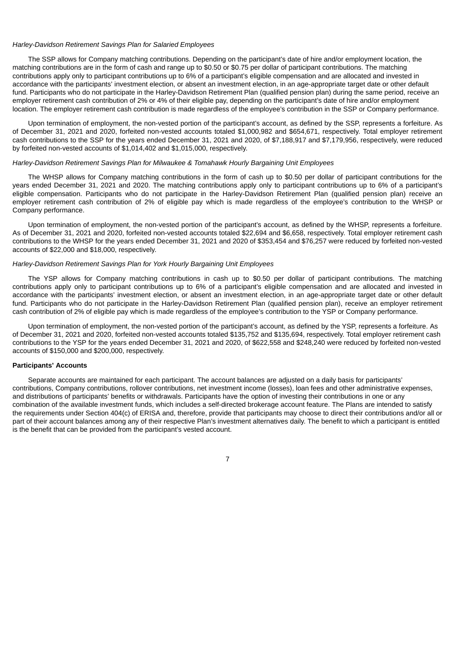#### *Harley-Davidson Retirement Savings Plan for Salaried Employees*

The SSP allows for Company matching contributions. Depending on the participant's date of hire and/or employment location, the matching contributions are in the form of cash and range up to \$0.50 or \$0.75 per dollar of participant contributions. The matching contributions apply only to participant contributions up to 6% of a participant's eligible compensation and are allocated and invested in accordance with the participants' investment election, or absent an investment election, in an age-appropriate target date or other default fund. Participants who do not participate in the Harley-Davidson Retirement Plan (qualified pension plan) during the same period, receive an employer retirement cash contribution of 2% or 4% of their eligible pay, depending on the participant's date of hire and/or employment location. The employer retirement cash contribution is made regardless of the employee's contribution in the SSP or Company performance.

Upon termination of employment, the non-vested portion of the participant's account, as defined by the SSP, represents a forfeiture. As of December 31, 2021 and 2020, forfeited non-vested accounts totaled \$1,000,982 and \$654,671, respectively. Total employer retirement cash contributions to the SSP for the years ended December 31, 2021 and 2020, of \$7,188,917 and \$7,179,956, respectively, were reduced by forfeited non-vested accounts of \$1,014,402 and \$1,015,000, respectively.

#### *Harley-Davidson Retirement Savings Plan for Milwaukee & Tomahawk Hourly Bargaining Unit Employees*

The WHSP allows for Company matching contributions in the form of cash up to \$0.50 per dollar of participant contributions for the years ended December 31, 2021 and 2020. The matching contributions apply only to participant contributions up to 6% of a participant's eligible compensation. Participants who do not participate in the Harley-Davidson Retirement Plan (qualified pension plan) receive an employer retirement cash contribution of 2% of eligible pay which is made regardless of the employee's contribution to the WHSP or Company performance.

Upon termination of employment, the non-vested portion of the participant's account, as defined by the WHSP, represents a forfeiture. As of December 31, 2021 and 2020, forfeited non-vested accounts totaled \$22,694 and \$6,658, respectively. Total employer retirement cash contributions to the WHSP for the years ended December 31, 2021 and 2020 of \$353,454 and \$76,257 were reduced by forfeited non-vested accounts of \$22,000 and \$18,000, respectively.

#### *Harley-Davidson Retirement Savings Plan for York Hourly Bargaining Unit Employees*

The YSP allows for Company matching contributions in cash up to \$0.50 per dollar of participant contributions. The matching contributions apply only to participant contributions up to 6% of a participant's eligible compensation and are allocated and invested in accordance with the participants' investment election, or absent an investment election, in an age-appropriate target date or other default fund. Participants who do not participate in the Harley-Davidson Retirement Plan (qualified pension plan), receive an employer retirement cash contribution of 2% of eligible pay which is made regardless of the employee's contribution to the YSP or Company performance.

Upon termination of employment, the non-vested portion of the participant's account, as defined by the YSP, represents a forfeiture. As of December 31, 2021 and 2020, forfeited non-vested accounts totaled \$135,752 and \$135,694, respectively. Total employer retirement cash contributions to the YSP for the years ended December 31, 2021 and 2020, of \$622,558 and \$248,240 were reduced by forfeited non-vested accounts of \$150,000 and \$200,000, respectively.

## **Participants' Accounts**

Separate accounts are maintained for each participant. The account balances are adjusted on a daily basis for participants' contributions, Company contributions, rollover contributions, net investment income (losses), loan fees and other administrative expenses, and distributions of participants' benefits or withdrawals. Participants have the option of investing their contributions in one or any combination of the available investment funds, which includes a self-directed brokerage account feature. The Plans are intended to satisfy the requirements under Section 404(c) of ERISA and, therefore, provide that participants may choose to direct their contributions and/or all or part of their account balances among any of their respective Plan's investment alternatives daily. The benefit to which a participant is entitled is the benefit that can be provided from the participant's vested account.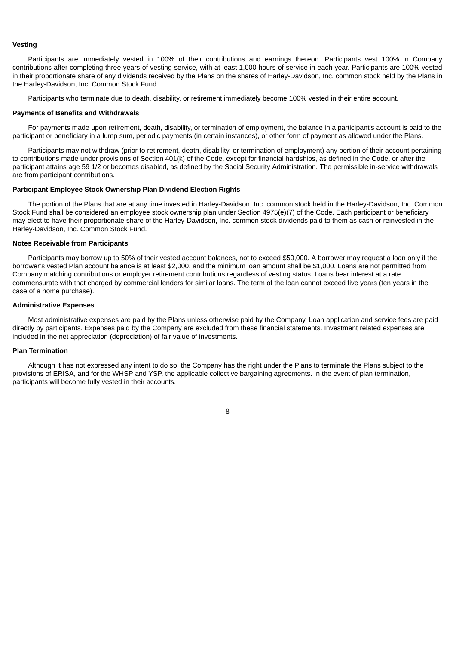#### **Vesting**

Participants are immediately vested in 100% of their contributions and earnings thereon. Participants vest 100% in Company contributions after completing three years of vesting service, with at least 1,000 hours of service in each year. Participants are 100% vested in their proportionate share of any dividends received by the Plans on the shares of Harley-Davidson, Inc. common stock held by the Plans in the Harley-Davidson, Inc. Common Stock Fund.

Participants who terminate due to death, disability, or retirement immediately become 100% vested in their entire account.

#### **Payments of Benefits and Withdrawals**

For payments made upon retirement, death, disability, or termination of employment, the balance in a participant's account is paid to the participant or beneficiary in a lump sum, periodic payments (in certain instances), or other form of payment as allowed under the Plans.

Participants may not withdraw (prior to retirement, death, disability, or termination of employment) any portion of their account pertaining to contributions made under provisions of Section 401(k) of the Code, except for financial hardships, as defined in the Code, or after the participant attains age 59 1/2 or becomes disabled, as defined by the Social Security Administration. The permissible in-service withdrawals are from participant contributions.

## **Participant Employee Stock Ownership Plan Dividend Election Rights**

The portion of the Plans that are at any time invested in Harley-Davidson, Inc. common stock held in the Harley-Davidson, Inc. Common Stock Fund shall be considered an employee stock ownership plan under Section 4975(e)(7) of the Code. Each participant or beneficiary may elect to have their proportionate share of the Harley-Davidson, Inc. common stock dividends paid to them as cash or reinvested in the Harley-Davidson, Inc. Common Stock Fund.

## **Notes Receivable from Participants**

Participants may borrow up to 50% of their vested account balances, not to exceed \$50,000. A borrower may request a loan only if the borrower's vested Plan account balance is at least \$2,000, and the minimum loan amount shall be \$1,000. Loans are not permitted from Company matching contributions or employer retirement contributions regardless of vesting status. Loans bear interest at a rate commensurate with that charged by commercial lenders for similar loans. The term of the loan cannot exceed five years (ten years in the case of a home purchase).

#### **Administrative Expenses**

Most administrative expenses are paid by the Plans unless otherwise paid by the Company. Loan application and service fees are paid directly by participants. Expenses paid by the Company are excluded from these financial statements. Investment related expenses are included in the net appreciation (depreciation) of fair value of investments.

## **Plan Termination**

Although it has not expressed any intent to do so, the Company has the right under the Plans to terminate the Plans subject to the provisions of ERISA, and for the WHSP and YSP, the applicable collective bargaining agreements. In the event of plan termination, participants will become fully vested in their accounts.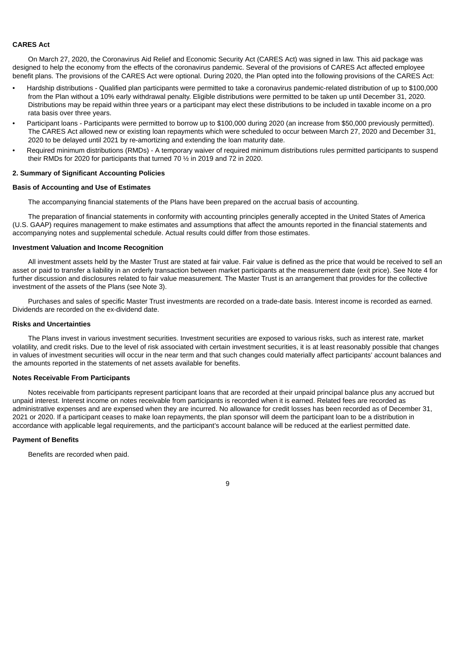#### **CARES Act**

On March 27, 2020, the Coronavirus Aid Relief and Economic Security Act (CARES Act) was signed in law. This aid package was designed to help the economy from the effects of the coronavirus pandemic. Several of the provisions of CARES Act affected employee benefit plans. The provisions of the CARES Act were optional. During 2020, the Plan opted into the following provisions of the CARES Act:

- Hardship distributions Qualified plan participants were permitted to take a coronavirus pandemic-related distribution of up to \$100,000 from the Plan without a 10% early withdrawal penalty. Eligible distributions were permitted to be taken up until December 31, 2020. Distributions may be repaid within three years or a participant may elect these distributions to be included in taxable income on a pro rata basis over three years.
- Participant loans Participants were permitted to borrow up to \$100,000 during 2020 (an increase from \$50,000 previously permitted). The CARES Act allowed new or existing loan repayments which were scheduled to occur between March 27, 2020 and December 31, 2020 to be delayed until 2021 by re-amortizing and extending the loan maturity date.
- Required minimum distributions (RMDs) A temporary waiver of required minimum distributions rules permitted participants to suspend their RMDs for 2020 for participants that turned 70 ½ in 2019 and 72 in 2020.

#### **2. Summary of Significant Accounting Policies**

## **Basis of Accounting and Use of Estimates**

The accompanying financial statements of the Plans have been prepared on the accrual basis of accounting.

The preparation of financial statements in conformity with accounting principles generally accepted in the United States of America (U.S. GAAP) requires management to make estimates and assumptions that affect the amounts reported in the financial statements and accompanying notes and supplemental schedule. Actual results could differ from those estimates.

## **Investment Valuation and Income Recognition**

All investment assets held by the Master Trust are stated at fair value. Fair value is defined as the price that would be received to sell an asset or paid to transfer a liability in an orderly transaction between market participants at the measurement date (exit price). See Note 4 for further discussion and disclosures related to fair value measurement. The Master Trust is an arrangement that provides for the collective investment of the assets of the Plans (see Note 3).

Purchases and sales of specific Master Trust investments are recorded on a trade-date basis. Interest income is recorded as earned. Dividends are recorded on the ex-dividend date.

## **Risks and Uncertainties**

The Plans invest in various investment securities. Investment securities are exposed to various risks, such as interest rate, market volatility, and credit risks. Due to the level of risk associated with certain investment securities, it is at least reasonably possible that changes in values of investment securities will occur in the near term and that such changes could materially affect participants' account balances and the amounts reported in the statements of net assets available for benefits.

#### **Notes Receivable From Participants**

Notes receivable from participants represent participant loans that are recorded at their unpaid principal balance plus any accrued but unpaid interest. Interest income on notes receivable from participants is recorded when it is earned. Related fees are recorded as administrative expenses and are expensed when they are incurred. No allowance for credit losses has been recorded as of December 31, 2021 or 2020. If a participant ceases to make loan repayments, the plan sponsor will deem the participant loan to be a distribution in accordance with applicable legal requirements, and the participant's account balance will be reduced at the earliest permitted date.

## **Payment of Benefits**

Benefits are recorded when paid.

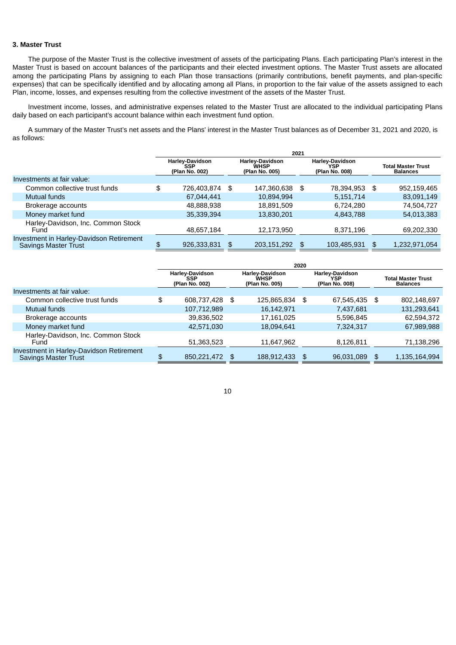#### **3. Master Trust**

The purpose of the Master Trust is the collective investment of assets of the participating Plans. Each participating Plan's interest in the Master Trust is based on account balances of the participants and their elected investment options. The Master Trust assets are allocated among the participating Plans by assigning to each Plan those transactions (primarily contributions, benefit payments, and plan-specific expenses) that can be specifically identified and by allocating among all Plans, in proportion to the fair value of the assets assigned to each Plan, income, losses, and expenses resulting from the collective investment of the assets of the Master Trust.

Investment income, losses, and administrative expenses related to the Master Trust are allocated to the individual participating Plans daily based on each participant's account balance within each investment fund option.

A summary of the Master Trust's net assets and the Plans' interest in the Master Trust balances as of December 31, 2021 and 2020, is as follows:

|                                                                         | 2021                                            |    |                                                         |      |                                                 |    |                                              |
|-------------------------------------------------------------------------|-------------------------------------------------|----|---------------------------------------------------------|------|-------------------------------------------------|----|----------------------------------------------|
|                                                                         | Harley-Davidson<br><b>SSP</b><br>(Plan No. 002) |    | <b>Harley-Davidson</b><br><b>WHSP</b><br>(Plan No. 005) |      | <b>Harley-Davidson</b><br>YSP<br>(Plan No. 008) |    | <b>Total Master Trust</b><br><b>Balances</b> |
| Investments at fair value:                                              |                                                 |    |                                                         |      |                                                 |    |                                              |
| Common collective trust funds                                           | \$<br>726,403,874 \$                            |    | 147,360,638                                             | - \$ | 78,394,953                                      | \$ | 952,159,465                                  |
| Mutual funds                                                            | 67,044,441                                      |    | 10,894,994                                              |      | 5,151,714                                       |    | 83,091,149                                   |
| Brokerage accounts                                                      | 48,888,938                                      |    | 18,891,509                                              |      | 6.724.280                                       |    | 74,504,727                                   |
| Money market fund                                                       | 35.339.394                                      |    | 13,830,201                                              |      | 4,843,788                                       |    | 54,013,383                                   |
| Harley-Davidson, Inc. Common Stock<br>Fund                              | 48.657.184                                      |    | 12.173.950                                              |      | 8,371,196                                       |    | 69,202,330                                   |
| Investment in Harley-Davidson Retirement<br><b>Savings Master Trust</b> | \$<br>926,333,831                               | \$ | 203,151,292                                             |      | 103,485,931                                     | \$ | 1,232,971,054                                |

|                                                                         | 2020 |                                                        |    |                                                         |  |                                                 |    |                                              |
|-------------------------------------------------------------------------|------|--------------------------------------------------------|----|---------------------------------------------------------|--|-------------------------------------------------|----|----------------------------------------------|
|                                                                         |      | <b>Harley-Davidson</b><br><b>SSP</b><br>(Plan No. 002) |    | <b>Harley-Davidson</b><br><b>WHSP</b><br>(Plan No. 005) |  | <b>Harley-Davidson</b><br>YSP<br>(Plan No. 008) |    | <b>Total Master Trust</b><br><b>Balances</b> |
| Investments at fair value:                                              |      |                                                        |    |                                                         |  |                                                 |    |                                              |
| Common collective trust funds                                           | \$   | 608,737,428                                            | \$ | 125,865,834 \$                                          |  | 67,545,435                                      | \$ | 802,148,697                                  |
| <b>Mutual funds</b>                                                     |      | 107,712,989                                            |    | 16,142,971                                              |  | 7,437,681                                       |    | 131,293,641                                  |
| Brokerage accounts                                                      |      | 39,836,502                                             |    | 17,161,025                                              |  | 5,596,845                                       |    | 62,594,372                                   |
| Money market fund                                                       |      | 42,571,030                                             |    | 18,094,641                                              |  | 7,324,317                                       |    | 67,989,988                                   |
| Harley-Davidson, Inc. Common Stock<br>Fund                              |      | 51,363,523                                             |    | 11.647.962                                              |  | 8.126.811                                       |    | 71,138,296                                   |
| Investment in Harley-Davidson Retirement<br><b>Savings Master Trust</b> | \$   | 850,221,472                                            | \$ | 188,912,433                                             |  | 96,031,089                                      |    | 1,135,164,994                                |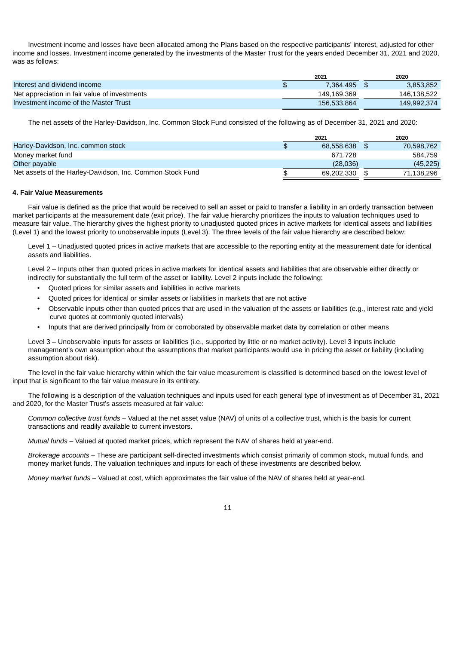Investment income and losses have been allocated among the Plans based on the respective participants' interest, adjusted for other income and losses. Investment income generated by the investments of the Master Trust for the years ended December 31, 2021 and 2020, was as follows:

|                                               | 2021         | 2020        |
|-----------------------------------------------|--------------|-------------|
| Interest and dividend income                  | 7.364.495 \$ | 3.853.852   |
| Net appreciation in fair value of investments | 149,169,369  | 146.138.522 |
| Investment income of the Master Trust         | 156,533,864  | 149,992,374 |

The net assets of the Harley-Davidson, Inc. Common Stock Fund consisted of the following as of December 31, 2021 and 2020:

|                                                           | 2021       |     | 2020       |
|-----------------------------------------------------------|------------|-----|------------|
| Harley-Davidson, Inc. common stock                        | 68.558.638 | S S | 70,598,762 |
| Money market fund                                         | 671.728    |     | 584.759    |
| Other payable                                             | (28,036)   |     | (45, 225)  |
| Net assets of the Harley-Davidson, Inc. Common Stock Fund | 69.202.330 |     | 71,138,296 |

#### **4. Fair Value Measurements**

Fair value is defined as the price that would be received to sell an asset or paid to transfer a liability in an orderly transaction between market participants at the measurement date (exit price). The fair value hierarchy prioritizes the inputs to valuation techniques used to measure fair value. The hierarchy gives the highest priority to unadjusted quoted prices in active markets for identical assets and liabilities (Level 1) and the lowest priority to unobservable inputs (Level 3). The three levels of the fair value hierarchy are described below:

Level 1 – Unadjusted quoted prices in active markets that are accessible to the reporting entity at the measurement date for identical assets and liabilities.

Level 2 – Inputs other than quoted prices in active markets for identical assets and liabilities that are observable either directly or indirectly for substantially the full term of the asset or liability. Level 2 inputs include the following:

- Quoted prices for similar assets and liabilities in active markets
- Quoted prices for identical or similar assets or liabilities in markets that are not active
- Observable inputs other than quoted prices that are used in the valuation of the assets or liabilities (e.g., interest rate and yield curve quotes at commonly quoted intervals)
- Inputs that are derived principally from or corroborated by observable market data by correlation or other means

Level 3 – Unobservable inputs for assets or liabilities (i.e., supported by little or no market activity). Level 3 inputs include management's own assumption about the assumptions that market participants would use in pricing the asset or liability (including assumption about risk).

The level in the fair value hierarchy within which the fair value measurement is classified is determined based on the lowest level of input that is significant to the fair value measure in its entirety.

The following is a description of the valuation techniques and inputs used for each general type of investment as of December 31, 2021 and 2020, for the Master Trust's assets measured at fair value:

*Common collective trust funds* – Valued at the net asset value (NAV) of units of a collective trust, which is the basis for current transactions and readily available to current investors.

*Mutual funds* – Valued at quoted market prices, which represent the NAV of shares held at year-end.

*Brokerage accounts* – These are participant self-directed investments which consist primarily of common stock, mutual funds, and money market funds. The valuation techniques and inputs for each of these investments are described below.

*Money market funds* – Valued at cost, which approximates the fair value of the NAV of shares held at year-end.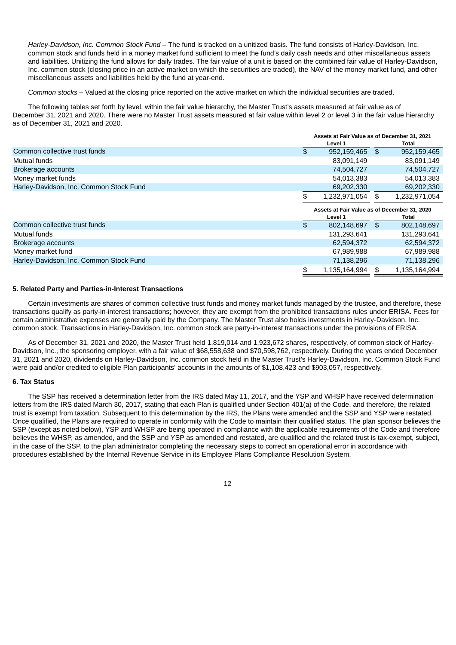*Harley-Davidson, Inc. Common Stock Fund* – The fund is tracked on a unitized basis. The fund consists of Harley-Davidson, Inc. common stock and funds held in a money market fund sufficient to meet the fund's daily cash needs and other miscellaneous assets and liabilities. Unitizing the fund allows for daily trades. The fair value of a unit is based on the combined fair value of Harley-Davidson, Inc. common stock (closing price in an active market on which the securities are traded), the NAV of the money market fund, and other miscellaneous assets and liabilities held by the fund at year-end.

*Common stocks* – Valued at the closing price reported on the active market on which the individual securities are traded.

The following tables set forth by level, within the fair value hierarchy, the Master Trust's assets measured at fair value as of December 31, 2021 and 2020. There were no Master Trust assets measured at fair value within level 2 or level 3 in the fair value hierarchy as of December 31, 2021 and 2020.

|                                         | Assets at Fair Value as of December 31, 2021 |     |               |
|-----------------------------------------|----------------------------------------------|-----|---------------|
|                                         | Level 1                                      |     | Total         |
| Common collective trust funds           | \$<br>952,159,465                            | -\$ | 952,159,465   |
| <b>Mutual funds</b>                     | 83,091,149                                   |     | 83,091,149    |
| Brokerage accounts                      | 74,504,727                                   |     | 74,504,727    |
| Money market funds                      | 54,013,383                                   |     | 54,013,383    |
| Harley-Davidson, Inc. Common Stock Fund | 69,202,330                                   |     | 69,202,330    |
|                                         | 1,232,971,054                                | \$  | 1,232,971,054 |
|                                         |                                              |     |               |
|                                         | Assets at Fair Value as of December 31, 2020 |     |               |
|                                         | Level 1                                      |     | Total         |
| Common collective trust funds           | \$<br>802,148,697                            | \$  | 802,148,697   |
| Mutual funds                            | 131,293,641                                  |     | 131,293,641   |
| Brokerage accounts                      | 62,594,372                                   |     | 62,594,372    |
| Money market fund                       | 67,989,988                                   |     | 67,989,988    |
| Harley-Davidson, Inc. Common Stock Fund | 71,138,296                                   |     | 71,138,296    |

## **5. Related Party and Parties-in-Interest Transactions**

Certain investments are shares of common collective trust funds and money market funds managed by the trustee, and therefore, these transactions qualify as party-in-interest transactions; however, they are exempt from the prohibited transactions rules under ERISA. Fees for certain administrative expenses are generally paid by the Company. The Master Trust also holds investments in Harley-Davidson, Inc. common stock. Transactions in Harley-Davidson, Inc. common stock are party-in-interest transactions under the provisions of ERISA.

As of December 31, 2021 and 2020, the Master Trust held 1,819,014 and 1,923,672 shares, respectively, of common stock of Harley-Davidson, Inc., the sponsoring employer, with a fair value of \$68,558,638 and \$70,598,762, respectively. During the years ended December 31, 2021 and 2020, dividends on Harley-Davidson, Inc. common stock held in the Master Trust's Harley-Davidson, Inc. Common Stock Fund were paid and/or credited to eligible Plan participants' accounts in the amounts of \$1,108,423 and \$903,057, respectively.

#### **6. Tax Status**

The SSP has received a determination letter from the IRS dated May 11, 2017, and the YSP and WHSP have received determination letters from the IRS dated March 30, 2017, stating that each Plan is qualified under Section 401(a) of the Code, and therefore, the related trust is exempt from taxation. Subsequent to this determination by the IRS, the Plans were amended and the SSP and YSP were restated. Once qualified, the Plans are required to operate in conformity with the Code to maintain their qualified status. The plan sponsor believes the SSP (except as noted below), YSP and WHSP are being operated in compliance with the applicable requirements of the Code and therefore believes the WHSP, as amended, and the SSP and YSP as amended and restated, are qualified and the related trust is tax-exempt, subject, in the case of the SSP, to the plan administrator completing the necessary steps to correct an operational error in accordance with procedures established by the Internal Revenue Service in its Employee Plans Compliance Resolution System.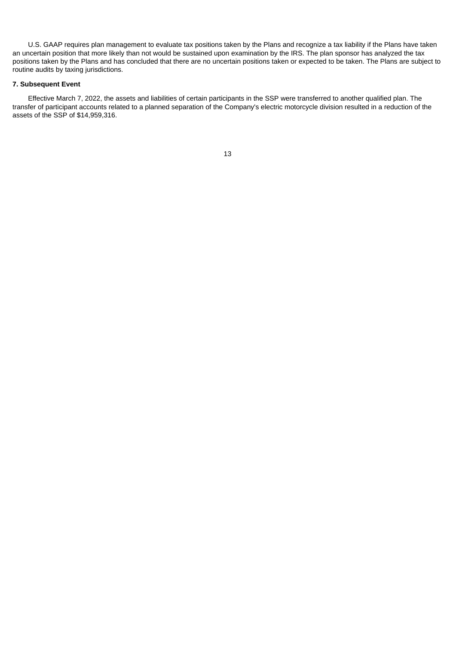U.S. GAAP requires plan management to evaluate tax positions taken by the Plans and recognize a tax liability if the Plans have taken an uncertain position that more likely than not would be sustained upon examination by the IRS. The plan sponsor has analyzed the tax positions taken by the Plans and has concluded that there are no uncertain positions taken or expected to be taken. The Plans are subject to routine audits by taxing jurisdictions.

## **7. Subsequent Event**

<span id="page-15-0"></span>Effective March 7, 2022, the assets and liabilities of certain participants in the SSP were transferred to another qualified plan. The transfer of participant accounts related to a planned separation of the Company's electric motorcycle division resulted in a reduction of the assets of the SSP of \$14,959,316.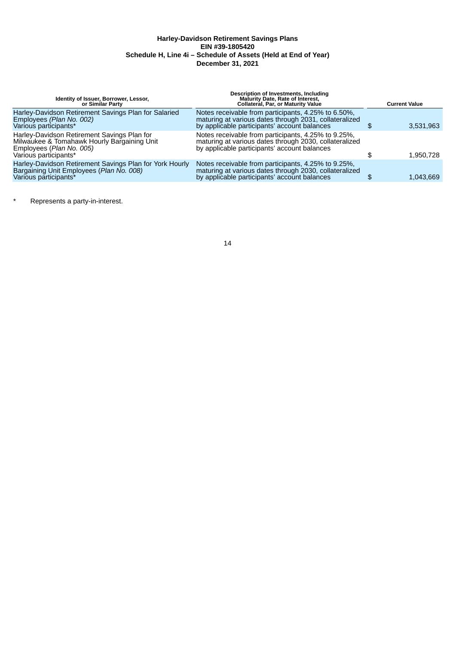## **Harley-Davidson Retirement Savings Plans EIN #39-1805420 Schedule H, Line 4i – Schedule of Assets (Held at End of Year) December 31, 2021**

| Identity of Issuer, Borrower, Lessor,<br>or Similar Party                                                                                       | <b>Description of Investments, Including</b><br>Maturity Date, Rate of Interest,<br><b>Collateral, Par, or Maturity Value</b>                                 | <b>Current Value</b> |
|-------------------------------------------------------------------------------------------------------------------------------------------------|---------------------------------------------------------------------------------------------------------------------------------------------------------------|----------------------|
| Harley-Davidson Retirement Savings Plan for Salaried<br>Employees (Plan No. 002)<br>Various participants*                                       | Notes receivable from participants, 4.25% to 6.50%,<br>maturing at various dates through 2031, collateralized<br>by applicable participants' account balances | 3,531,963            |
| Harley-Davidson Retirement Savings Plan for<br>Milwaukee & Tomahawk Hourly Bargaining Unit<br>Employees (Plan No. 005)<br>Various participants* | Notes receivable from participants, 4.25% to 9.25%,<br>maturing at various dates through 2030, collateralized<br>by applicable participants' account balances | 1,950,728            |
| Harley-Davidson Retirement Savings Plan for York Hourly<br>Bargaining Unit Employees (Plan No. 008)<br>Various participants*                    | Notes receivable from participants, 4.25% to 9.25%,<br>maturing at various dates through 2030, collateralized<br>by applicable participants' account balances | 1,043,669            |

\* Represents a party-in-interest.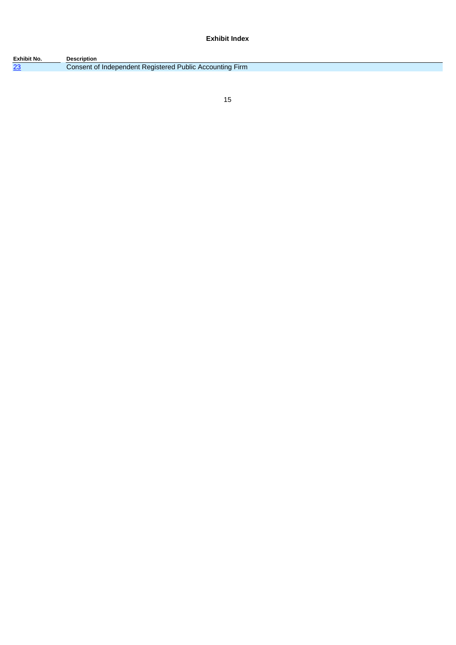**Exhibit Index**

| Exhibit No. | <b>Description</b>                                       |
|-------------|----------------------------------------------------------|
| 23          | Consent of Independent Registered Public Accounting Firm |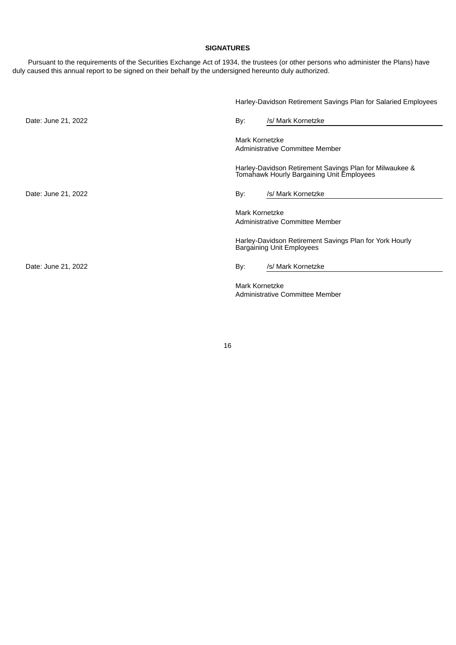## **SIGNATURES**

Pursuant to the requirements of the Securities Exchange Act of 1934, the trustees (or other persons who administer the Plans) have duly caused this annual report to be signed on their behalf by the undersigned hereunto duly authorized.

|                     | Harley-Davidson Retirement Savings Plan for Salaried Employees                                       |
|---------------------|------------------------------------------------------------------------------------------------------|
| Date: June 21, 2022 | /s/ Mark Kornetzke<br>By:                                                                            |
|                     | Mark Kornetzke<br>Administrative Committee Member                                                    |
|                     | Harley-Davidson Retirement Savings Plan for Milwaukee &<br>Tomahawk Hourly Bargaining Unit Employees |
| Date: June 21, 2022 | /s/ Mark Kornetzke<br>By:                                                                            |
|                     | Mark Kornetzke<br>Administrative Committee Member                                                    |
|                     | Harley-Davidson Retirement Savings Plan for York Hourly<br><b>Bargaining Unit Employees</b>          |
| Date: June 21, 2022 | /s/ Mark Kornetzke<br>By:                                                                            |
|                     | Mark Kornetzke<br>Administrative Committee Member                                                    |